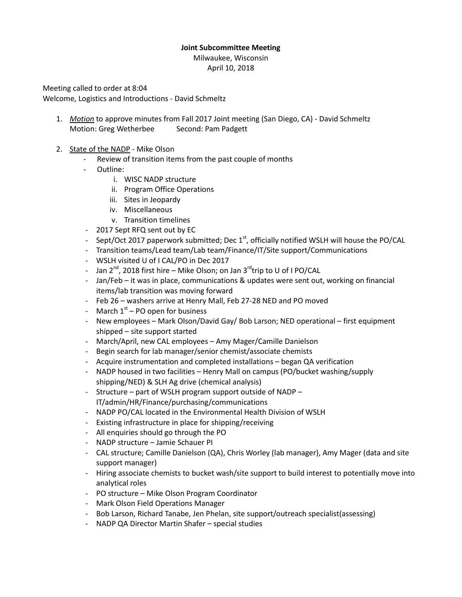## **Joint Subcommittee Meeting**

Milwaukee, Wisconsin April 10, 2018

Meeting called to order at 8:04 Welcome, Logistics and Introductions - David Schmeltz

- 1. *Motion* to approve minutes from Fall 2017 Joint meeting (San Diego, CA) David Schmeltz Motion: Greg Wetherbee Second: Pam Padgett
- 2. State of the NADP Mike Olson
	- Review of transition items from the past couple of months
	- Outline:
		- i. WISC NADP structure
		- ii. Program Office Operations
		- iii. Sites in Jeopardy
		- iv. Miscellaneous
		- v. Transition timelines
	- 2017 Sept RFQ sent out by EC
	- Sept/Oct 2017 paperwork submitted; Dec  $1<sup>st</sup>$ , officially notified WSLH will house the PO/CAL
	- Transition teams/Lead team/Lab team/Finance/IT/Site support/Communications
	- WSLH visited U of I CAL/PO in Dec 2017
	- Jan 2<sup>nd</sup>, 2018 first hire Mike Olson; on Jan 3<sup>rd</sup>trip to U of I PO/CAL
	- Jan/Feb it was in place, communications & updates were sent out, working on financial items/lab transition was moving forward
	- Feb 26 washers arrive at Henry Mall, Feb 27-28 NED and PO moved
	- March  $1<sup>st</sup>$  PO open for business
	- New employees Mark Olson/David Gay/ Bob Larson; NED operational first equipment shipped – site support started
	- March/April, new CAL employees Amy Mager/Camille Danielson
	- Begin search for lab manager/senior chemist/associate chemists
	- Acquire instrumentation and completed installations began QA verification
	- NADP housed in two facilities Henry Mall on campus (PO/bucket washing/supply shipping/NED) & SLH Ag drive (chemical analysis)
	- Structure part of WSLH program support outside of NADP IT/admin/HR/Finance/purchasing/communications
	- NADP PO/CAL located in the Environmental Health Division of WSLH
	- Existing infrastructure in place for shipping/receiving
	- All enquiries should go through the PO
	- NADP structure Jamie Schauer PI
	- CAL structure; Camille Danielson (QA), Chris Worley (lab manager), Amy Mager (data and site support manager)
	- Hiring associate chemists to bucket wash/site support to build interest to potentially move into analytical roles
	- PO structure Mike Olson Program Coordinator
	- Mark Olson Field Operations Manager
	- Bob Larson, Richard Tanabe, Jen Phelan, site support/outreach specialist(assessing)
	- NADP QA Director Martin Shafer special studies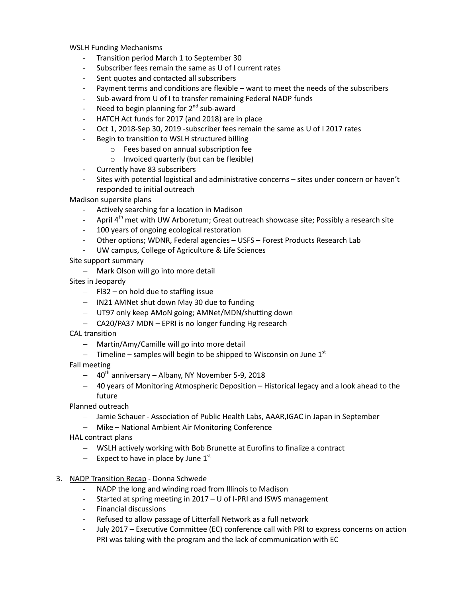WSLH Funding Mechanisms

- Transition period March 1 to September 30
- Subscriber fees remain the same as U of I current rates
- Sent quotes and contacted all subscribers
- Payment terms and conditions are flexible want to meet the needs of the subscribers
- Sub-award from U of I to transfer remaining Federal NADP funds
- Need to begin planning for  $2^{nd}$  sub-award
- HATCH Act funds for 2017 (and 2018) are in place
- Oct 1, 2018-Sep 30, 2019 -subscriber fees remain the same as U of I 2017 rates
- Begin to transition to WSLH structured billing
	- o Fees based on annual subscription fee
	- o Invoiced quarterly (but can be flexible)
- Currently have 83 subscribers
- Sites with potential logistical and administrative concerns sites under concern or haven't responded to initial outreach

Madison supersite plans

- Actively searching for a location in Madison
- April  $4^{th}$  met with UW Arboretum; Great outreach showcase site; Possibly a research site
- 100 years of ongoing ecological restoration
- Other options; WDNR, Federal agencies USFS Forest Products Research Lab
- UW campus, College of Agriculture & Life Sciences
- Site support summary
	- Mark Olson will go into more detail

Sites in Jeopardy

- $-$  Fl32 on hold due to staffing issue
- IN21 AMNet shut down May 30 due to funding
- UT97 only keep AMoN going; AMNet/MDN/shutting down
- CA20/PA37 MDN EPRI is no longer funding Hg research
- CAL transition
	- Martin/Amy/Camille will go into more detail
	- Timeline samples will begin to be shipped to Wisconsin on June  $1<sup>st</sup>$

Fall meeting

- $-40^{th}$  anniversary Albany, NY November 5-9, 2018
- 40 years of Monitoring Atmospheric Deposition Historical legacy and a look ahead to the future

Planned outreach

- Jamie Schauer Association of Public Health Labs, AAAR,IGAC in Japan in September
- Mike National Ambient Air Monitoring Conference
- HAL contract plans
	- WSLH actively working with Bob Brunette at Eurofins to finalize a contract
	- Expect to have in place by June  $1<sup>st</sup>$
- 3. NADP Transition Recap Donna Schwede
	- NADP the long and winding road from Illinois to Madison
	- Started at spring meeting in 2017 U of I-PRI and ISWS management
	- Financial discussions
	- Refused to allow passage of Litterfall Network as a full network
	- July 2017 Executive Committee (EC) conference call with PRI to express concerns on action PRI was taking with the program and the lack of communication with EC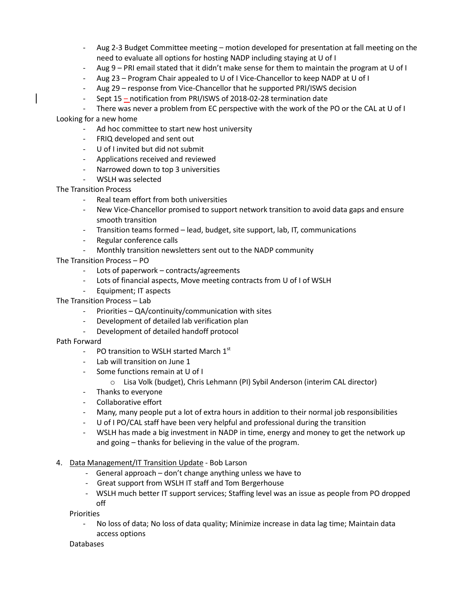- Aug 2-3 Budget Committee meeting motion developed for presentation at fall meeting on the need to evaluate all options for hosting NADP including staying at U of I
- Aug 9 PRI email stated that it didn't make sense for them to maintain the program at U of I
- Aug 23 Program Chair appealed to U of I Vice-Chancellor to keep NADP at U of I
- Aug 29 response from Vice-Chancellor that he supported PRI/ISWS decision
- Sept 15 notification from PRI/ISWS of 2018-02-28 termination date
- There was never a problem from EC perspective with the work of the PO or the CAL at U of I

Looking for a new home

- Ad hoc committee to start new host university
- FRIQ developed and sent out
- U of I invited but did not submit
- Applications received and reviewed
- Narrowed down to top 3 universities
- WSLH was selected

The Transition Process

- Real team effort from both universities
- New Vice-Chancellor promised to support network transition to avoid data gaps and ensure smooth transition
- Transition teams formed lead, budget, site support, lab, IT, communications
- Regular conference calls
- Monthly transition newsletters sent out to the NADP community

The Transition Process – PO

- Lots of paperwork contracts/agreements
- Lots of financial aspects, Move meeting contracts from U of I of WSLH
- Equipment; IT aspects

The Transition Process – Lab

- Priorities QA/continuity/communication with sites
- Development of detailed lab verification plan
- Development of detailed handoff protocol

## Path Forward

- PO transition to WSLH started March  $1<sup>st</sup>$
- Lab will transition on June 1
- Some functions remain at U of I
	- o Lisa Volk (budget), Chris Lehmann (PI) Sybil Anderson (interim CAL director)
- Thanks to everyone
- Collaborative effort
- Many, many people put a lot of extra hours in addition to their normal job responsibilities
- U of I PO/CAL staff have been very helpful and professional during the transition
- WSLH has made a big investment in NADP in time, energy and money to get the network up and going – thanks for believing in the value of the program.
- 4. Data Management/IT Transition Update Bob Larson
	- General approach don't change anything unless we have to
	- Great support from WSLH IT staff and Tom Bergerhouse
	- WSLH much better IT support services; Staffing level was an issue as people from PO dropped off

**Priorities** 

No loss of data; No loss of data quality; Minimize increase in data lag time; Maintain data access options

Databases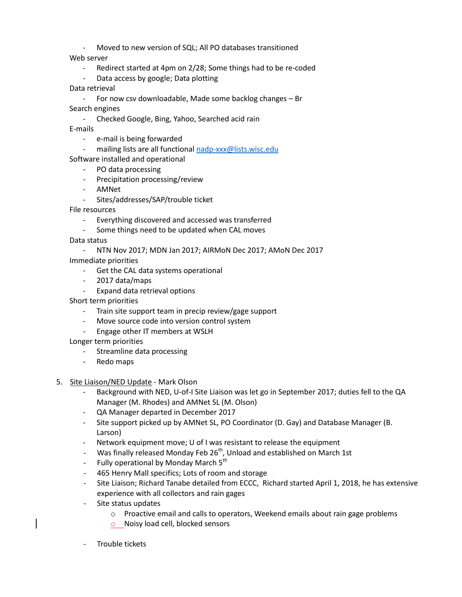Moved to new version of SQL; All PO databases transitioned

Web server

- Redirect started at 4pm on 2/28; Some things had to be re-coded
- Data access by google; Data plotting

# Data retrieval

- For now csv downloadable, Made some backlog changes Br Search engines
	- Checked Google, Bing, Yahoo, Searched acid rain

E-mails

- e-mail is being forwarded
- mailing lists are all functional nadp-[xxx@lists.wisc.edu](mailto:nadp-xxx@lists.wisc.edu)
- Software installed and operational
	- PO data processing
	- Precipitation processing/review
	- AMNet
	- Sites/addresses/SAP/trouble ticket

File resources

- Everything discovered and accessed was transferred
- Some things need to be updated when CAL moves

Data status

- NTN Nov 2017; MDN Jan 2017; AIRMoN Dec 2017; AMoN Dec 2017
- Immediate priorities
	- Get the CAL data systems operational
	- 2017 data/maps
	- Expand data retrieval options

Short term priorities

- Train site support team in precip review/gage support
- Move source code into version control system
- Engage other IT members at WSLH

Longer term priorities

- Streamline data processing
- Redo maps
- 5. Site Liaison/NED Update Mark Olson
	- Background with NED, U-of-I Site Liaison was let go in September 2017; duties fell to the QA Manager (M. Rhodes) and AMNet SL (M. Olson)
	- QA Manager departed in December 2017
	- Site support picked up by AMNet SL, PO Coordinator (D. Gay) and Database Manager (B. Larson)
	- Network equipment move; U of I was resistant to release the equipment
	- Was finally released Monday Feb 26<sup>th</sup>, Unload and established on March 1st
	- Fully operational by Monday March 5<sup>th</sup>
	- 465 Henry Mall specifics; Lots of room and storage
	- Site Liaison; Richard Tanabe detailed from ECCC, Richard started April 1, 2018, he has extensive experience with all collectors and rain gages
	- Site status updates
		- $\circ$  Proactive email and calls to operators, Weekend emails about rain gage problems
		- o Noisy load cell, blocked sensors
	- Trouble tickets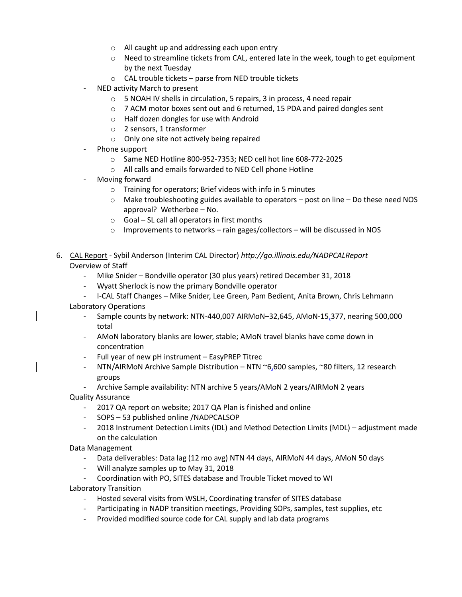- o All caught up and addressing each upon entry
- $\circ$  Need to streamline tickets from CAL, entered late in the week, tough to get equipment by the next Tuesday
- o CAL trouble tickets parse from NED trouble tickets
- NED activity March to present
	- o 5 NOAH IV shells in circulation, 5 repairs, 3 in process, 4 need repair
	- $\circ$  7 ACM motor boxes sent out and 6 returned, 15 PDA and paired dongles sent
	- o Half dozen dongles for use with Android
	- o 2 sensors, 1 transformer
	- o Only one site not actively being repaired
- Phone support
	- o Same NED Hotline 800-952-7353; NED cell hot line 608-772-2025
	- o All calls and emails forwarded to NED Cell phone Hotline
- Moving forward
	- o Training for operators; Brief videos with info in 5 minutes
	- $\circ$  Make troubleshooting guides available to operators post on line Do these need NOS approval? Wetherbee – No.
	- o Goal SL call all operators in first months
	- o Improvements to networks rain gages/collectors will be discussed in NOS

6. CAL Report - Sybil Anderson (Interim CAL Director) *http://go.illinois.edu/NADPCALReport* Overview of Staff

- Mike Snider Bondville operator (30 plus years) retired December 31, 2018
- Wyatt Sherlock is now the primary Bondville operator

- I-CAL Staff Changes – Mike Snider, Lee Green, Pam Bedient, Anita Brown, Chris Lehmann Laboratory Operations

- Sample counts by network: NTN-440,007 AIRMoN–32,645, AMoN-15,377, nearing 500,000 total
- AMoN laboratory blanks are lower, stable; AMoN travel blanks have come down in concentration
- Full year of new pH instrument EasyPREP Titrec
- NTN/AIRMoN Archive Sample Distribution NTN  $\sim$  6,600 samples,  $\sim$  80 filters, 12 research groups
- Archive Sample availability: NTN archive 5 years/AMoN 2 years/AIRMoN 2 years Quality Assurance
	- 2017 QA report on website; 2017 QA Plan is finished and online
	- SOPS 53 published online /NADPCALSOP
	- 2018 Instrument Detection Limits (IDL) and Method Detection Limits (MDL) adjustment made on the calculation

Data Management

- Data deliverables: Data lag (12 mo avg) NTN 44 days, AIRMoN 44 days, AMoN 50 days
- Will analyze samples up to May 31, 2018
- Coordination with PO, SITES database and Trouble Ticket moved to WI

Laboratory Transition

- Hosted several visits from WSLH, Coordinating transfer of SITES database
- Participating in NADP transition meetings, Providing SOPs, samples, test supplies, etc
- Provided modified source code for CAL supply and lab data programs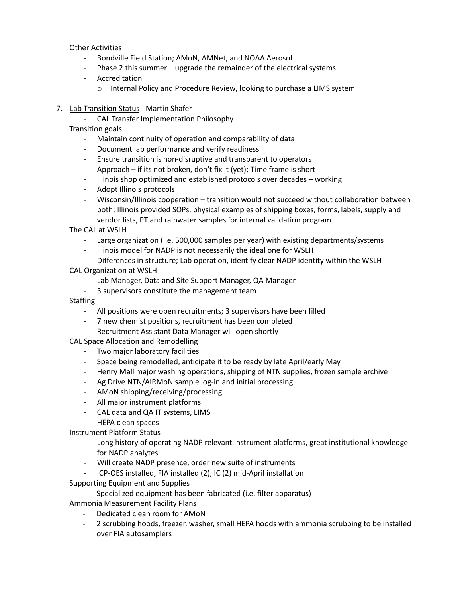Other Activities

- Bondville Field Station; AMoN, AMNet, and NOAA Aerosol
- Phase 2 this summer upgrade the remainder of the electrical systems
- Accreditation
	- o Internal Policy and Procedure Review, looking to purchase a LIMS system
- 7. Lab Transition Status Martin Shafer
	- CAL Transfer Implementation Philosophy

Transition goals

- Maintain continuity of operation and comparability of data
- Document lab performance and verify readiness
- Ensure transition is non-disruptive and transparent to operators
- Approach if its not broken, don't fix it (yet); Time frame is short
- Illinois shop optimized and established protocols over decades working
- Adopt Illinois protocols
- Wisconsin/Illinois cooperation transition would not succeed without collaboration between both; Illinois provided SOPs, physical examples of shipping boxes, forms, labels, supply and vendor lists, PT and rainwater samples for internal validation program

The CAL at WSLH

- Large organization (i.e. 500,000 samples per year) with existing departments/systems
- Illinois model for NADP is not necessarily the ideal one for WSLH
- Differences in structure; Lab operation, identify clear NADP identity within the WSLH

CAL Organization at WSLH

- Lab Manager, Data and Site Support Manager, QA Manager
- 3 supervisors constitute the management team

**Staffing** 

- All positions were open recruitments; 3 supervisors have been filled
- 7 new chemist positions, recruitment has been completed
- Recruitment Assistant Data Manager will open shortly

CAL Space Allocation and Remodelling

- Two major laboratory facilities
- Space being remodelled, anticipate it to be ready by late April/early May
- Henry Mall major washing operations, shipping of NTN supplies, frozen sample archive
- Ag Drive NTN/AIRMoN sample log-in and initial processing
- AMoN shipping/receiving/processing
- All major instrument platforms
- CAL data and QA IT systems, LIMS
- HEPA clean spaces

Instrument Platform Status

- Long history of operating NADP relevant instrument platforms, great institutional knowledge for NADP analytes
- Will create NADP presence, order new suite of instruments
- ICP-OES installed, FIA installed (2), IC (2) mid-April installation

Supporting Equipment and Supplies

- Specialized equipment has been fabricated (i.e. filter apparatus)

Ammonia Measurement Facility Plans

- Dedicated clean room for AMoN
- 2 scrubbing hoods, freezer, washer, small HEPA hoods with ammonia scrubbing to be installed over FIA autosamplers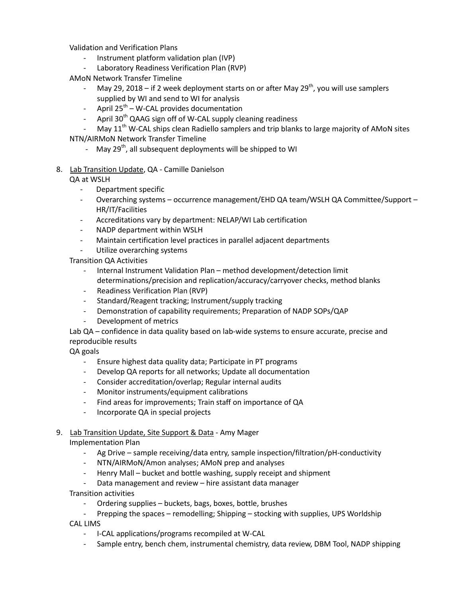Validation and Verification Plans

- Instrument platform validation plan (IVP)
- Laboratory Readiness Verification Plan (RVP)
- AMoN Network Transfer Timeline
	- May 29, 2018 if 2 week deployment starts on or after May  $29<sup>th</sup>$ , you will use samplers supplied by WI and send to WI for analysis
	- April 25<sup>th</sup> W-CAL provides documentation
	- April 30<sup>th</sup> QAAG sign off of W-CAL supply cleaning readiness
- May  $11<sup>th</sup>$  W-CAL ships clean Radiello samplers and trip blanks to large majority of AMoN sites NTN/AIRMoN Network Transfer Timeline
	- May  $29^{th}$ , all subsequent deployments will be shipped to WI
- 8. Lab Transition Update, QA Camille Danielson

QA at WSLH

- Department specific
- Overarching systems occurrence management/EHD QA team/WSLH QA Committee/Support HR/IT/Facilities
- Accreditations vary by department: NELAP/WI Lab certification
- NADP department within WSLH
- Maintain certification level practices in parallel adjacent departments
- Utilize overarching systems

Transition QA Activities

- Internal Instrument Validation Plan method development/detection limit determinations/precision and replication/accuracy/carryover checks, method blanks
- Readiness Verification Plan (RVP)
- Standard/Reagent tracking; Instrument/supply tracking
- Demonstration of capability requirements; Preparation of NADP SOPs/QAP
- Development of metrics

Lab QA – confidence in data quality based on lab-wide systems to ensure accurate, precise and reproducible results

QA goals

- Ensure highest data quality data; Participate in PT programs
- Develop QA reports for all networks; Update all documentation
- Consider accreditation/overlap; Regular internal audits
- Monitor instruments/equipment calibrations
- Find areas for improvements; Train staff on importance of QA
- Incorporate QA in special projects

# 9. Lab Transition Update, Site Support & Data - Amy Mager

Implementation Plan

- Ag Drive sample receiving/data entry, sample inspection/filtration/pH-conductivity
- NTN/AIRMoN/Amon analyses; AMoN prep and analyses
- Henry Mall bucket and bottle washing, supply receipt and shipment
- Data management and review hire assistant data manager

Transition activities

- Ordering supplies buckets, bags, boxes, bottle, brushes
- Prepping the spaces remodelling; Shipping stocking with supplies, UPS Worldship CAL LIMS
	- I-CAL applications/programs recompiled at W-CAL
	- Sample entry, bench chem, instrumental chemistry, data review, DBM Tool, NADP shipping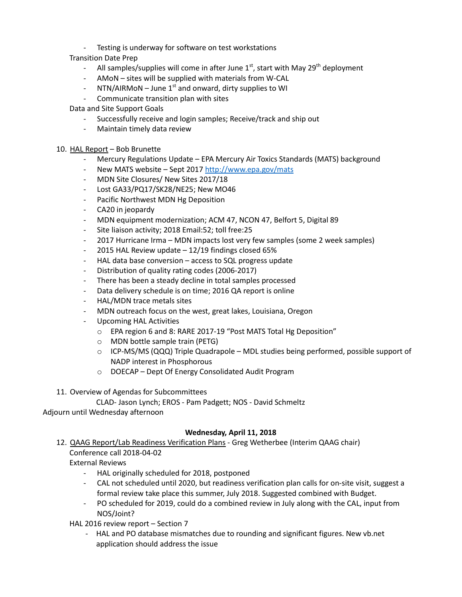Testing is underway for software on test workstations

Transition Date Prep

- All samples/supplies will come in after June  $1<sup>st</sup>$ , start with May  $29<sup>th</sup>$  deployment
- AMoN sites will be supplied with materials from W-CAL
- NTN/AIRMoN June  $1<sup>st</sup>$  and onward, dirty supplies to WI
- Communicate transition plan with sites

Data and Site Support Goals

- Successfully receive and login samples; Receive/track and ship out
- Maintain timely data review

## 10. HAL Report – Bob Brunette

- Mercury Regulations Update EPA Mercury Air Toxics Standards (MATS) background
- New MATS website Sept 2017<http://www.epa.gov/mats>
- MDN Site Closures/ New Sites 2017/18
- Lost GA33/PQ17/SK28/NE25; New MO46
- Pacific Northwest MDN Hg Deposition
- CA20 in jeopardy
- MDN equipment modernization; ACM 47, NCON 47, Belfort 5, Digital 89
- Site liaison activity; 2018 Email:52; toll free:25
- 2017 Hurricane Irma MDN impacts lost very few samples (some 2 week samples)
- 2015 HAL Review update  $12/19$  findings closed 65%
- HAL data base conversion access to SQL progress update
- Distribution of quality rating codes (2006-2017)
- There has been a steady decline in total samples processed
- Data delivery schedule is on time; 2016 QA report is online
- HAL/MDN trace metals sites
- MDN outreach focus on the west, great lakes, Louisiana, Oregon
- Upcoming HAL Activities
	- o EPA region 6 and 8: RARE 2017-19 "Post MATS Total Hg Deposition"
	- o MDN bottle sample train (PETG)
	- $\circ$  ICP-MS/MS (QQQ) Triple Quadrapole MDL studies being performed, possible support of NADP interest in Phosphorous
	- o DOECAP Dept Of Energy Consolidated Audit Program
- 11. Overview of Agendas for Subcommittees

CLAD- Jason Lynch; EROS - Pam Padgett; NOS - David Schmeltz

Adjourn until Wednesday afternoon

## **Wednesday, April 11, 2018**

12. QAAG Report/Lab Readiness Verification Plans - Greg Wetherbee (Interim QAAG chair) Conference call 2018-04-02

External Reviews

- HAL originally scheduled for 2018, postponed
- CAL not scheduled until 2020, but readiness verification plan calls for on-site visit, suggest a formal review take place this summer, July 2018. Suggested combined with Budget.
- PO scheduled for 2019, could do a combined review in July along with the CAL, input from NOS/Joint?

HAL 2016 review report – Section 7

- HAL and PO database mismatches due to rounding and significant figures. New vb.net application should address the issue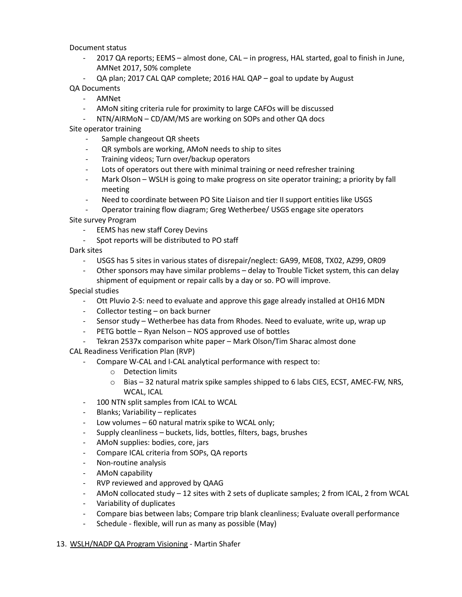Document status

- 2017 QA reports; EEMS almost done, CAL in progress, HAL started, goal to finish in June, AMNet 2017, 50% complete
- QA plan; 2017 CAL QAP complete; 2016 HAL QAP goal to update by August

QA Documents

- AMNet
- AMoN siting criteria rule for proximity to large CAFOs will be discussed
- NTN/AIRMoN CD/AM/MS are working on SOPs and other QA docs

Site operator training

- Sample changeout QR sheets
- QR symbols are working, AMoN needs to ship to sites
- Training videos; Turn over/backup operators
- Lots of operators out there with minimal training or need refresher training
- Mark Olson WSLH is going to make progress on site operator training; a priority by fall meeting
- Need to coordinate between PO Site Liaison and tier II support entities like USGS
- Operator training flow diagram; Greg Wetherbee/ USGS engage site operators

Site survey Program

- EEMS has new staff Corey Devins
- Spot reports will be distributed to PO staff

Dark sites

- USGS has 5 sites in various states of disrepair/neglect: GA99, ME08, TX02, AZ99, OR09
- Other sponsors may have similar problems delay to Trouble Ticket system, this can delay shipment of equipment or repair calls by a day or so. PO will improve.

Special studies

- Ott Pluvio 2-S: need to evaluate and approve this gage already installed at OH16 MDN
- Collector testing on back burner
- Sensor study Wetherbee has data from Rhodes. Need to evaluate, write up, wrap up
- PETG bottle Ryan Nelson NOS approved use of bottles
- Tekran 2537x comparison white paper Mark Olson/Tim Sharac almost done

CAL Readiness Verification Plan (RVP)

- Compare W-CAL and I-CAL analytical performance with respect to:
	- o Detection limits
	- $\circ$  Bias 32 natural matrix spike samples shipped to 6 labs CIES, ECST, AMEC-FW, NRS, WCAL, ICAL
- 100 NTN split samples from ICAL to WCAL
- Blanks; Variability replicates
- Low volumes 60 natural matrix spike to WCAL only;
- Supply cleanliness buckets, lids, bottles, filters, bags, brushes
- AMoN supplies: bodies, core, jars
- Compare ICAL criteria from SOPs, QA reports
- Non-routine analysis
- AMoN capability
- RVP reviewed and approved by QAAG
- AMoN collocated study 12 sites with 2 sets of duplicate samples; 2 from ICAL, 2 from WCAL
- Variability of duplicates
- Compare bias between labs; Compare trip blank cleanliness; Evaluate overall performance
- Schedule flexible, will run as many as possible (May)

## 13. WSLH/NADP QA Program Visioning - Martin Shafer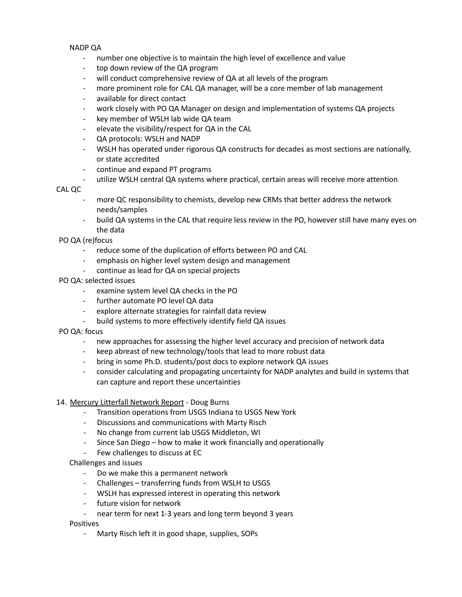#### NADP QA

- number one objective is to maintain the high level of excellence and value
- top down review of the QA program
- will conduct comprehensive review of QA at all levels of the program
- more prominent role for CAL QA manager, will be a core member of lab management
- available for direct contact
- work closely with PO QA Manager on design and implementation of systems QA projects
- key member of WSLH lab wide QA team
- elevate the visibility/respect for QA in the CAL
- QA protocols: WSLH and NADP
- WSLH has operated under rigorous QA constructs for decades as most sections are nationally, or state accredited
- continue and expand PT programs
- utilize WSLH central QA systems where practical, certain areas will receive more attention

CAL QC

- more QC responsibility to chemists, develop new CRMs that better address the network needs/samples
- build QA systems in the CAL that require less review in the PO, however still have many eyes on the data

PO QA (re)focus

- reduce some of the duplication of efforts between PO and CAL
- emphasis on higher level system design and management
- continue as lead for QA on special projects

PO QA: selected issues

- examine system level QA checks in the PO
- further automate PO level QA data
- explore alternate strategies for rainfall data review
- build systems to more effectively identify field QA issues

## PO QA: focus

- new approaches for assessing the higher level accuracy and precision of network data
- keep abreast of new technology/tools that lead to more robust data
- bring in some Ph.D. students/post docs to explore network QA issues
- consider calculating and propagating uncertainty for NADP analytes and build in systems that can capture and report these uncertainties

## 14. Mercury Litterfall Network Report - Doug Burns

- Transition operations from USGS Indiana to USGS New York
- Discussions and communications with Marty Risch
- No change from current lab USGS Middleton, WI
- Since San Diego how to make it work financially and operationally
- Few challenges to discuss at EC

Challenges and issues

- Do we make this a permanent network
- Challenges transferring funds from WSLH to USGS
- WSLH has expressed interest in operating this network
- future vision for network
- near term for next 1-3 years and long term beyond 3 years

Positives

- Marty Risch left it in good shape, supplies, SOPs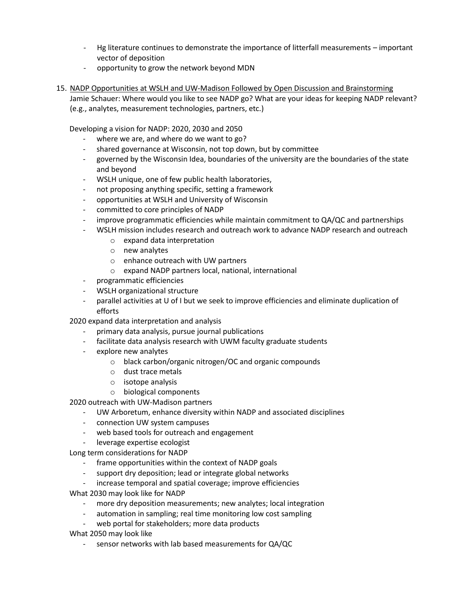- Hg literature continues to demonstrate the importance of litterfall measurements important vector of deposition
- opportunity to grow the network beyond MDN
- 15. NADP Opportunities at WSLH and UW-Madison Followed by Open Discussion and Brainstorming Jamie Schauer: Where would you like to see NADP go? What are your ideas for keeping NADP relevant? (e.g., analytes, measurement technologies, partners, etc.)

Developing a vision for NADP: 2020, 2030 and 2050

- where we are, and where do we want to go?
- shared governance at Wisconsin, not top down, but by committee
- governed by the Wisconsin Idea, boundaries of the university are the boundaries of the state and beyond
- WSLH unique, one of few public health laboratories,
- not proposing anything specific, setting a framework
- opportunities at WSLH and University of Wisconsin
- committed to core principles of NADP
- improve programmatic efficiencies while maintain commitment to QA/QC and partnerships
- WSLH mission includes research and outreach work to advance NADP research and outreach
	- o expand data interpretation
	- o new analytes
	- o enhance outreach with UW partners
	- o expand NADP partners local, national, international
- programmatic efficiencies
- WSLH organizational structure
- parallel activities at U of I but we seek to improve efficiencies and eliminate duplication of efforts

2020 expand data interpretation and analysis

- primary data analysis, pursue journal publications
- facilitate data analysis research with UWM faculty graduate students
- explore new analytes
	- o black carbon/organic nitrogen/OC and organic compounds
	- o dust trace metals
	- o isotope analysis
	- o biological components

2020 outreach with UW-Madison partners

- UW Arboretum, enhance diversity within NADP and associated disciplines
- connection UW system campuses
- web based tools for outreach and engagement
- leverage expertise ecologist

Long term considerations for NADP

- frame opportunities within the context of NADP goals
- support dry deposition; lead or integrate global networks
- increase temporal and spatial coverage; improve efficiencies

What 2030 may look like for NADP

- more dry deposition measurements; new analytes; local integration
- automation in sampling; real time monitoring low cost sampling
- web portal for stakeholders; more data products

What 2050 may look like

- sensor networks with lab based measurements for QA/QC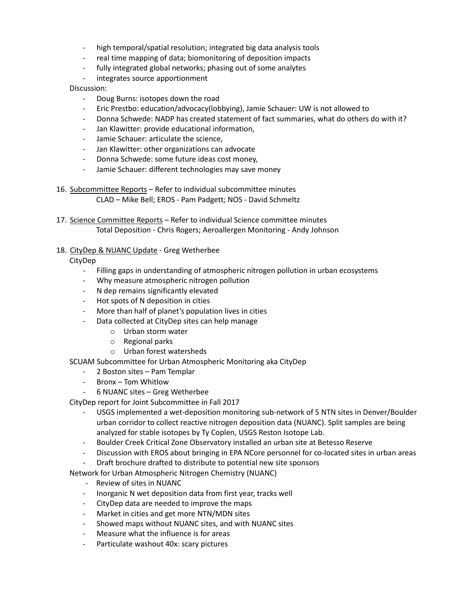- high temporal/spatial resolution; integrated big data analysis tools
- real time mapping of data; biomonitoring of deposition impacts
- fully integrated global networks; phasing out of some analytes
- integrates source apportionment

#### Discussion:

- Doug Burns: isotopes down the road
- Eric Prestbo: education/advocacy(lobbying), Jamie Schauer: UW is not allowed to
- Donna Schwede: NADP has created statement of fact summaries, what do others do with it?
- Jan Klawitter: provide educational information,
- Jamie Schauer: articulate the science,
- Jan Klawitter: other organizations can advocate
- Donna Schwede: some future ideas cost money,
- Jamie Schauer: different technologies may save money
- 16. Subcommittee Reports Refer to individual subcommittee minutes CLAD – Mike Bell; EROS - Pam Padgett; NOS - David Schmeltz
- 17. Science Committee Reports Refer to individual Science committee minutes Total Deposition - Chris Rogers; Aeroallergen Monitoring - Andy Johnson
- 18. CityDep & NUANC Update Greg Wetherbee

CityDep

- Filling gaps in understanding of atmospheric nitrogen pollution in urban ecosystems
- Why measure atmospheric nitrogen pollution
- N dep remains significantly elevated
- Hot spots of N deposition in cities
- More than half of planet's population lives in cities
- Data collected at CityDep sites can help manage
	- o Urban storm water
	- o Regional parks
	- o Urban forest watersheds

SCUAM Subcommittee for Urban Atmospheric Monitoring aka CityDep

- 2 Boston sites Pam Templar
- Bronx Tom Whitlow
- 6 NUANC sites Greg Wetherbee

CityDep report for Joint Subcommittee in Fall 2017

- USGS implemented a wet-deposition monitoring sub-network of 5 NTN sites in Denver/Boulder urban corridor to collect reactive nitrogen deposition data (NUANC). Split samples are being analyzed for stable isotopes by Ty Coplen, USGS Reston Isotope Lab.
- Boulder Creek Critical Zone Observatory installed an urban site at Betesso Reserve
- Discussion with EROS about bringing in EPA NCore personnel for co-located sites in urban areas
- Draft brochure drafted to distribute to potential new site sponsors

Network for Urban Atmospheric Nitrogen Chemistry (NUANC)

- Review of sites in NUANC
- Inorganic N wet deposition data from first year, tracks well
- CityDep data are needed to improve the maps
- Market in cities and get more NTN/MDN sites
- Showed maps without NUANC sites, and with NUANC sites
- Measure what the influence is for areas
- Particulate washout 40x: scary pictures